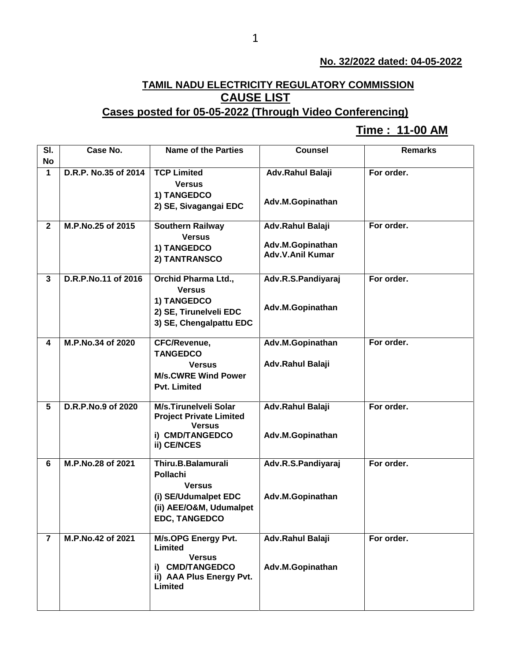## **No. 32/2022 dated: 04-05-2022**

## **TAMIL NADU ELECTRICITY REGULATORY COMMISSION CAUSE LIST**

## **Cases posted for 05-05-2022 (Through Video Conferencing)**

## **Time : 11-00 AM[**

| SI.             | Case No.             | <b>Name of the Parties</b>                  | <b>Counsel</b>          | <b>Remarks</b> |
|-----------------|----------------------|---------------------------------------------|-------------------------|----------------|
| <b>No</b>       |                      |                                             |                         |                |
| $\mathbf 1$     | D.R.P. No.35 of 2014 | <b>TCP Limited</b>                          | <b>Adv.Rahul Balaji</b> | For order.     |
|                 |                      | <b>Versus</b>                               |                         |                |
|                 |                      | 1) TANGEDCO                                 |                         |                |
|                 |                      | 2) SE, Sivagangai EDC                       | Adv.M.Gopinathan        |                |
|                 |                      |                                             |                         |                |
| $\mathbf{2}$    | M.P.No.25 of 2015    | <b>Southern Railway</b>                     | Adv.Rahul Balaji        | For order.     |
|                 |                      | <b>Versus</b>                               | Adv.M.Gopinathan        |                |
|                 |                      | 1) TANGEDCO                                 | <b>Adv.V.Anil Kumar</b> |                |
|                 |                      | 2) TANTRANSCO                               |                         |                |
| $\mathbf{3}$    | D.R.P.No.11 of 2016  | <b>Orchid Pharma Ltd.,</b>                  | Adv.R.S.Pandiyaraj      | For order.     |
|                 |                      | <b>Versus</b>                               |                         |                |
|                 |                      | 1) TANGEDCO                                 |                         |                |
|                 |                      | 2) SE, Tirunelveli EDC                      | Adv.M.Gopinathan        |                |
|                 |                      | 3) SE, Chengalpattu EDC                     |                         |                |
|                 |                      |                                             |                         |                |
| 4               | M.P.No.34 of 2020    | CFC/Revenue,                                | Adv.M.Gopinathan        | For order.     |
|                 |                      | <b>TANGEDCO</b>                             |                         |                |
|                 |                      | <b>Versus</b>                               | Adv.Rahul Balaji        |                |
|                 |                      | <b>M/s.CWRE Wind Power</b>                  |                         |                |
|                 |                      | <b>Pvt. Limited</b>                         |                         |                |
| $5\phantom{.0}$ | D.R.P.No.9 of 2020   | <b>M/s.Tirunelveli Solar</b>                | Adv.Rahul Balaji        | For order.     |
|                 |                      | <b>Project Private Limited</b>              |                         |                |
|                 |                      | <b>Versus</b>                               |                         |                |
|                 |                      | i) CMD/TANGEDCO                             | Adv.M.Gopinathan        |                |
|                 |                      | ii) CE/NCES                                 |                         |                |
| 6               | M.P.No.28 of 2021    | Thiru.B.Balamurali                          | Adv.R.S.Pandiyaraj      | For order.     |
|                 |                      | Pollachi                                    |                         |                |
|                 |                      | <b>Versus</b>                               |                         |                |
|                 |                      | (i) SE/Udumalpet EDC                        | Adv.M.Gopinathan        |                |
|                 |                      | (ii) AEE/O&M, Udumalpet                     |                         |                |
|                 |                      | <b>EDC, TANGEDCO</b>                        |                         |                |
|                 |                      |                                             |                         |                |
| $\overline{7}$  | M.P.No.42 of 2021    | M/s.OPG Energy Pvt.                         | Adv.Rahul Balaji        | For order.     |
|                 |                      | Limited                                     |                         |                |
|                 |                      | <b>Versus</b>                               |                         |                |
|                 |                      | i) CMD/TANGEDCO<br>ii) AAA Plus Energy Pvt. | Adv.M.Gopinathan        |                |
|                 |                      | <b>Limited</b>                              |                         |                |
|                 |                      |                                             |                         |                |
|                 |                      |                                             |                         |                |